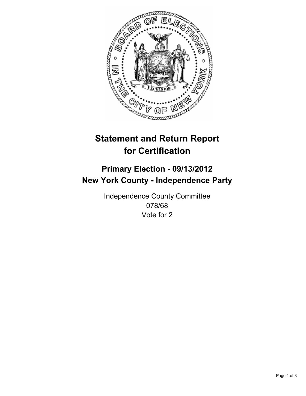

# **Statement and Return Report for Certification**

## **Primary Election - 09/13/2012 New York County - Independence Party**

Independence County Committee 078/68 Vote for 2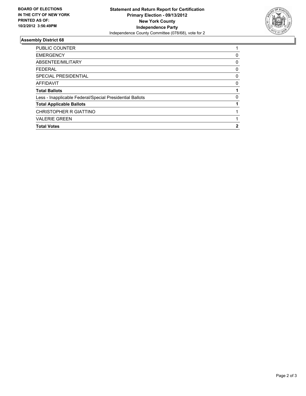

### **Assembly District 68**

| <b>PUBLIC COUNTER</b>                                    |   |
|----------------------------------------------------------|---|
| <b>EMERGENCY</b>                                         | 0 |
| ABSENTEE/MILITARY                                        | 0 |
| <b>FEDERAL</b>                                           | 0 |
| SPECIAL PRESIDENTIAL                                     | 0 |
| <b>AFFIDAVIT</b>                                         | 0 |
| <b>Total Ballots</b>                                     |   |
| Less - Inapplicable Federal/Special Presidential Ballots | 0 |
| <b>Total Applicable Ballots</b>                          |   |
| CHRISTOPHER R GIATTINO                                   |   |
| <b>VALERIE GREEN</b>                                     |   |
| <b>Total Votes</b>                                       | 2 |